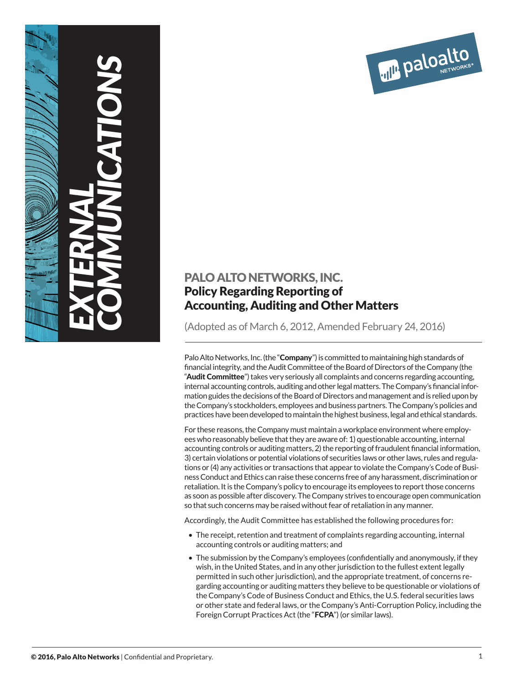

# PALO ALTO NETWORKS, INC. Policy Regarding Reporting of Accounting, Auditing and Other Matters

(Adopted as of March 6, 2012, Amended February 24, 2016)

Palo Alto Networks, Inc. (the "**Company**") is committed to maintaining high standards of financial integrity, and the Audit Committee of the Board of Directors of the Company (the "Audit Committee") takes very seriously all complaints and concerns regarding accounting, internal accounting controls, auditing and other legal matters. The Company's financial information guides the decisions of the Board of Directors and management and is relied upon by the Company's stockholders, employees and business partners. The Company's policies and practices have been developed to maintain the highest business, legal and ethical standards.

For these reasons, the Company must maintain a workplace environment where employees who reasonably believe that they are aware of: 1) questionable accounting, internal accounting controls or auditing matters, 2) the reporting of fraudulent financial information, 3) certain violations or potential violations of securities laws or other laws, rules and regulations or (4) any activities or transactions that appear to violate the Company's Code of Business Conduct and Ethics can raise these concerns free of any harassment, discrimination or retaliation. It is the Company's policy to encourage its employees to report those concerns as soon as possible after discovery. The Company strives to encourage open communication so that such concerns may be raised without fear of retaliation in any manner.

Accordingly, the Audit Committee has established the following procedures for:

- The receipt, retention and treatment of complaints regarding accounting, internal accounting controls or auditing matters; and
- The submission by the Company's employees (confidentially and anonymously, if they wish, in the United States, and in any other jurisdiction to the fullest extent legally permitted in such other jurisdiction), and the appropriate treatment, of concerns regarding accounting or auditing matters they believe to be questionable or violations of the Company's Code of Business Conduct and Ethics, the U.S. federal securities laws or other state and federal laws, or the Company's Anti-Corruption Policy, including the Foreign Corrupt Practices Act (the "FCPA") (or similar laws).

*EXTERNAL*

*COMMUNICATIONS*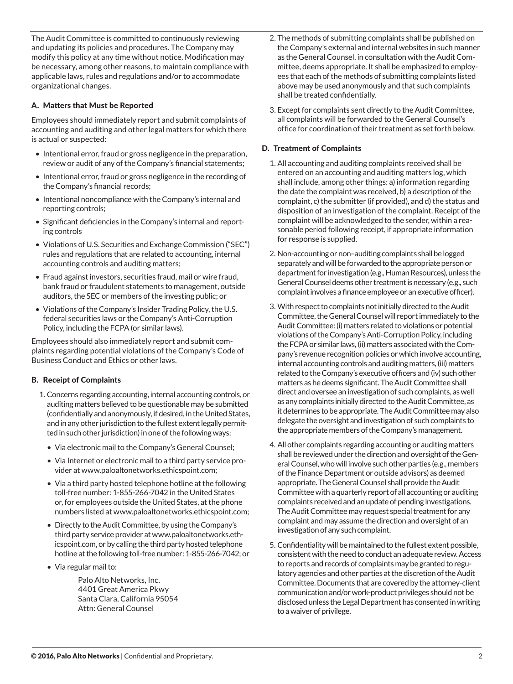The Audit Committee is committed to continuously reviewing and updating its policies and procedures. The Company may modify this policy at any time without notice. Modification may be necessary, among other reasons, to maintain compliance with applicable laws, rules and regulations and/or to accommodate organizational changes.

# A. Matters that Must be Reported

Employees should immediately report and submit complaints of accounting and auditing and other legal matters for which there is actual or suspected:

- Intentional error, fraud or gross negligence in the preparation, review or audit of any of the Company's financial statements;
- Intentional error, fraud or gross negligence in the recording of the Company's financial records;
- Intentional noncompliance with the Company's internal and reporting controls;
- Significant deficiencies in the Company's internal and reporting controls
- Violations of U.S. Securities and Exchange Commission ("SEC") rules and regulations that are related to accounting, internal accounting controls and auditing matters;
- Fraud against investors, securities fraud, mail or wire fraud, bank fraud or fraudulent statements to management, outside auditors, the SEC or members of the investing public; or
- Violations of the Company's Insider Trading Policy, the U.S. federal securities laws or the Company's Anti-Corruption Policy, including the FCPA (or similar laws).

Employees should also immediately report and submit complaints regarding potential violations of the Company's Code of Business Conduct and Ethics or other laws.

## B. Receipt of Complaints

- 1. Concerns regarding accounting, internal accounting controls, or auditing matters believed to be questionable may be submitted (confidentially and anonymously, if desired, in the United States, and in any other jurisdiction to the fullest extent legally permitted in such other jurisdiction) in one of the following ways:
	- Via electronic mail to the Company's General Counsel;
	- Via Internet or electronic mail to a third party service provider at www.paloaltonetworks.ethicspoint.com;
	- Via a third party hosted telephone hotline at the following toll-free number: 1-855-266-7042 in the United States or, for employees outside the United States, at the phone numbers listed at www.paloaltonetworks.ethicspoint.com;
	- Directly to the Audit Committee, by using the Company's third party service provider at www.paloaltonetworks.ethicspoint.com, or by calling the third party hosted telephone hotline at the following toll-free number: 1-855-266-7042; or
	- Via regular mail to:

Palo Alto Networks, Inc. 4401 Great America Pkwy Santa Clara, California 95054 Attn: General Counsel

- 2. The methods of submitting complaints shall be published on the Company's external and internal websites in such manner as the General Counsel, in consultation with the Audit Committee, deems appropriate. It shall be emphasized to employees that each of the methods of submitting complaints listed above may be used anonymously and that such complaints shall be treated confidentially.
- 3. Except for complaints sent directly to the Audit Committee, all complaints will be forwarded to the General Counsel's office for coordination of their treatment as set forth below.

# D. Treatment of Complaints

- 1. All accounting and auditing complaints received shall be entered on an accounting and auditing matters log, which shall include, among other things: a) information regarding the date the complaint was received, b) a description of the complaint, c) the submitter (if provided), and d) the status and disposition of an investigation of the complaint. Receipt of the complaint will be acknowledged to the sender, within a reasonable period following receipt, if appropriate information for response is supplied.
- 2. Non-accounting or non–auditing complaints shall be logged separately and will be forwarded to the appropriate person or department for investigation (e.g., Human Resources), unless the General Counsel deems other treatment is necessary (e.g., such complaint involves a finance employee or an executive officer).
- 3. With respect to complaints not initially directed to the Audit Committee, the General Counsel will report immediately to the Audit Committee: (i) matters related to violations or potential violations of the Company's Anti-Corruption Policy, including the FCPA or similar laws, (ii) matters associated with the Company's revenue recognition policies or which involve accounting, internal accounting controls and auditing matters, (iii) matters related to the Company's executive officers and (iv) such other matters as he deems significant. The Audit Committee shall direct and oversee an investigation of such complaints, as well as any complaints initially directed to the Audit Committee, as it determines to be appropriate. The Audit Committee may also delegate the oversight and investigation of such complaints to the appropriate members of the Company's management.
- 4. All other complaints regarding accounting or auditing matters shall be reviewed under the direction and oversight of the General Counsel, who will involve such other parties (e.g., members of the Finance Department or outside advisors) as deemed appropriate. The General Counsel shall provide the Audit Committee with a quarterly report of all accounting or auditing complaints received and an update of pending investigations. The Audit Committee may request special treatment for any complaint and may assume the direction and oversight of an investigation of any such complaint.
- 5. Confidentiality will be maintained to the fullest extent possible, consistent with the need to conduct an adequate review. Access to reports and records of complaints may be granted to regulatory agencies and other parties at the discretion of the Audit Committee. Documents that are covered by the attorney-client communication and/or work-product privileges should not be disclosed unless the Legal Department has consented in writing to a waiver of privilege.